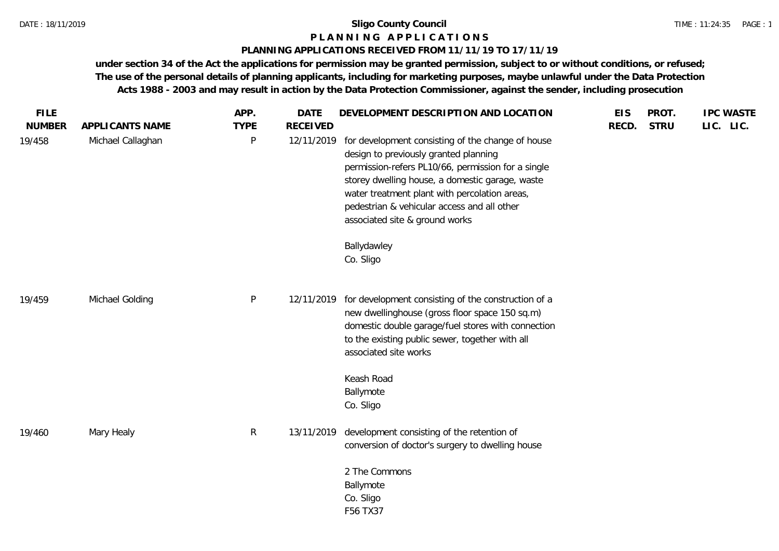# **P L A N N I N G A P P L I C A T I O N S**

#### **PLANNING APPLICATIONS RECEIVED FROM 11/11/19 TO 17/11/19**

**under section 34 of the Act the applications for permission may be granted permission, subject to or without conditions, or refused; The use of the personal details of planning applicants, including for marketing purposes, maybe unlawful under the Data Protection Acts 1988 - 2003 and may result in action by the Data Protection Commissioner, against the sender, including prosecution**

| APPLICANTS NAME   | <b>TYPE</b>  | <b>RECEIVED</b> |                                                                                                                                                                                                                                                                                                              | RECD.                                                                                                                                                                         | <b>STRU</b> | LIC. LIC. |
|-------------------|--------------|-----------------|--------------------------------------------------------------------------------------------------------------------------------------------------------------------------------------------------------------------------------------------------------------------------------------------------------------|-------------------------------------------------------------------------------------------------------------------------------------------------------------------------------|-------------|-----------|
| Michael Callaghan | P            |                 | design to previously granted planning<br>permission-refers PL10/66, permission for a single<br>storey dwelling house, a domestic garage, waste<br>water treatment plant with percolation areas,<br>pedestrian & vehicular access and all other<br>associated site & ground works<br>Ballydawley<br>Co. Sligo |                                                                                                                                                                               |             |           |
| Michael Golding   | $\mathsf{P}$ | 12/11/2019      | new dwellinghouse (gross floor space 150 sq.m)<br>domestic double garage/fuel stores with connection<br>to the existing public sewer, together with all<br>associated site works                                                                                                                             |                                                                                                                                                                               |             |           |
|                   |              |                 | Keash Road<br>Ballymote<br>Co. Sligo                                                                                                                                                                                                                                                                         |                                                                                                                                                                               |             |           |
| Mary Healy        | $\mathsf{R}$ | 13/11/2019      | conversion of doctor's surgery to dwelling house<br>2 The Commons<br>Ballymote<br>Co. Sligo                                                                                                                                                                                                                  |                                                                                                                                                                               |             |           |
|                   |              |                 |                                                                                                                                                                                                                                                                                                              | 12/11/2019 for development consisting of the change of house<br>for development consisting of the construction of a<br>development consisting of the retention of<br>F56 TX37 |             |           |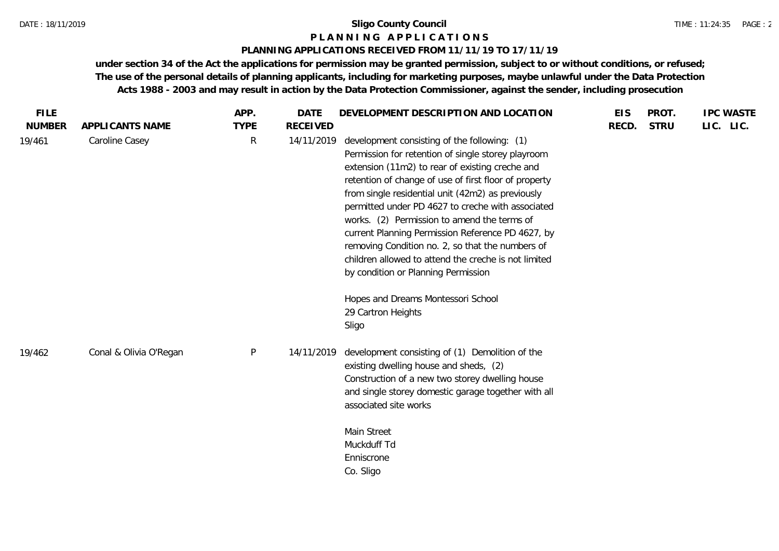#### **P L A N N I N G A P P L I C A T I O N S**

#### **PLANNING APPLICATIONS RECEIVED FROM 11/11/19 TO 17/11/19**

**under section 34 of the Act the applications for permission may be granted permission, subject to or without conditions, or refused; The use of the personal details of planning applicants, including for marketing purposes, maybe unlawful under the Data Protection Acts 1988 - 2003 and may result in action by the Data Protection Commissioner, against the sender, including prosecution**

| <b>FILE</b>             |                                   | APP.             | <b>DATE</b>                   | DEVELOPMENT DESCRIPTION AND LOCATION                                                                                                                                                                                                                                                                                                                                                                                   | <b>EIS</b> | PROT.       | <b>IPC WASTE</b> |
|-------------------------|-----------------------------------|------------------|-------------------------------|------------------------------------------------------------------------------------------------------------------------------------------------------------------------------------------------------------------------------------------------------------------------------------------------------------------------------------------------------------------------------------------------------------------------|------------|-------------|------------------|
| <b>NUMBER</b><br>19/461 | APPLICANTS NAME<br>Caroline Casey | <b>TYPE</b><br>R | <b>RECEIVED</b><br>14/11/2019 | development consisting of the following: (1)<br>Permission for retention of single storey playroom<br>extension (11m2) to rear of existing creche and                                                                                                                                                                                                                                                                  | RECD.      | <b>STRU</b> | LIC. LIC.        |
|                         |                                   |                  |                               | retention of change of use of first floor of property<br>from single residential unit (42m2) as previously<br>permitted under PD 4627 to creche with associated<br>works. (2) Permission to amend the terms of<br>current Planning Permission Reference PD 4627, by<br>removing Condition no. 2, so that the numbers of<br>children allowed to attend the creche is not limited<br>by condition or Planning Permission |            |             |                  |
|                         |                                   |                  |                               | Hopes and Dreams Montessori School<br>29 Cartron Heights<br>Sligo                                                                                                                                                                                                                                                                                                                                                      |            |             |                  |
| 19/462                  | Conal & Olivia O'Regan            | $\sf P$          | 14/11/2019                    | development consisting of (1) Demolition of the<br>existing dwelling house and sheds, (2)<br>Construction of a new two storey dwelling house<br>and single storey domestic garage together with all<br>associated site works                                                                                                                                                                                           |            |             |                  |
|                         |                                   |                  |                               | Main Street<br>Muckduff Td<br>Enniscrone<br>Co. Sligo                                                                                                                                                                                                                                                                                                                                                                  |            |             |                  |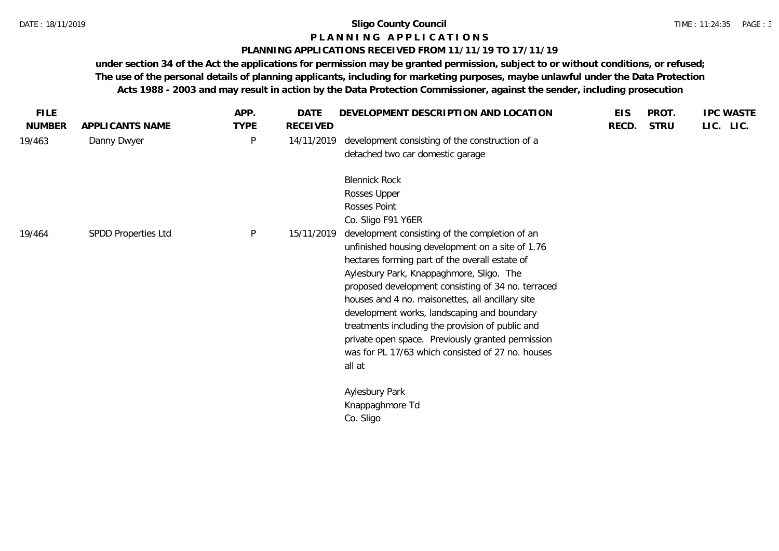### **P L A N N I N G A P P L I C A T I O N S**

#### **PLANNING APPLICATIONS RECEIVED FROM 11/11/19 TO 17/11/19**

**under section 34 of the Act the applications for permission may be granted permission, subject to or without conditions, or refused; The use of the personal details of planning applicants, including for marketing purposes, maybe unlawful under the Data Protection Acts 1988 - 2003 and may result in action by the Data Protection Commissioner, against the sender, including prosecution**

| <b>FILE</b>   |                     | APP.         | <b>DATE</b>     | DEVELOPMENT DESCRIPTION AND LOCATION               | <b>EIS</b> | PROT.       | <b>IPC WASTE</b> |
|---------------|---------------------|--------------|-----------------|----------------------------------------------------|------------|-------------|------------------|
| <b>NUMBER</b> | APPLICANTS NAME     | <b>TYPE</b>  | <b>RECEIVED</b> |                                                    | RECD.      | <b>STRU</b> | LIC. LIC.        |
| 19/463        | Danny Dwyer         | P            | 14/11/2019      | development consisting of the construction of a    |            |             |                  |
|               |                     |              |                 | detached two car domestic garage                   |            |             |                  |
|               |                     |              |                 | <b>Blennick Rock</b>                               |            |             |                  |
|               |                     |              |                 | Rosses Upper                                       |            |             |                  |
|               |                     |              |                 | Rosses Point                                       |            |             |                  |
|               |                     |              |                 | Co. Sligo F91 Y6ER                                 |            |             |                  |
| 19/464        | SPDD Properties Ltd | $\mathsf{P}$ | 15/11/2019      | development consisting of the completion of an     |            |             |                  |
|               |                     |              |                 | unfinished housing development on a site of 1.76   |            |             |                  |
|               |                     |              |                 | hectares forming part of the overall estate of     |            |             |                  |
|               |                     |              |                 | Aylesbury Park, Knappaghmore, Sligo. The           |            |             |                  |
|               |                     |              |                 | proposed development consisting of 34 no. terraced |            |             |                  |
|               |                     |              |                 | houses and 4 no. maisonettes, all ancillary site   |            |             |                  |
|               |                     |              |                 | development works, landscaping and boundary        |            |             |                  |
|               |                     |              |                 | treatments including the provision of public and   |            |             |                  |
|               |                     |              |                 | private open space. Previously granted permission  |            |             |                  |
|               |                     |              |                 | was for PL 17/63 which consisted of 27 no. houses  |            |             |                  |
|               |                     |              |                 | all at                                             |            |             |                  |
|               |                     |              |                 | Aylesbury Park                                     |            |             |                  |
|               |                     |              |                 | Knappaghmore Td                                    |            |             |                  |
|               |                     |              |                 | Co. Sligo                                          |            |             |                  |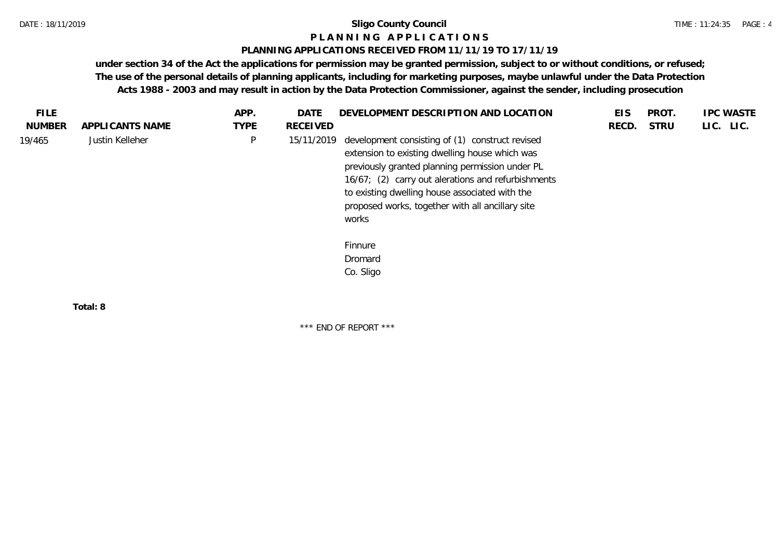#### **P L A N N I N G A P P L I C A T I O N S**

#### **PLANNING APPLICATIONS RECEIVED FROM 11/11/19 TO 17/11/19**

**under section 34 of the Act the applications for permission may be granted permission, subject to or without conditions, or refused; The use of the personal details of planning applicants, including for marketing purposes, maybe unlawful under the Data Protection Acts 1988 - 2003 and may result in action by the Data Protection Commissioner, against the sender, including prosecution**

| FILE.         |                 | APP.        | DATE       | DEVELOPMENT DESCRIPTION AND LOCATION                                                                                                                                                                                                                                                                                      | <b>EIS</b> | PROT.       | <b>IPC WASTE</b> |
|---------------|-----------------|-------------|------------|---------------------------------------------------------------------------------------------------------------------------------------------------------------------------------------------------------------------------------------------------------------------------------------------------------------------------|------------|-------------|------------------|
| <b>NUMBER</b> | APPLICANTS NAME | <b>TYPE</b> | RECEIVED   |                                                                                                                                                                                                                                                                                                                           | RECD.      | <b>STRU</b> | LIC. LIC.        |
| 19/465        | Justin Kelleher | $\sf P$     | 15/11/2019 | development consisting of (1) construct revised<br>extension to existing dwelling house which was<br>previously granted planning permission under PL<br>16/67; (2) carry out alerations and refurbishments<br>to existing dwelling house associated with the<br>proposed works, together with all ancillary site<br>works |            |             |                  |
|               |                 |             |            | Finnure<br>Dromard<br>Co. Sligo                                                                                                                                                                                                                                                                                           |            |             |                  |
|               | Total: 8        |             |            |                                                                                                                                                                                                                                                                                                                           |            |             |                  |

\*\*\* END OF REPORT \*\*\*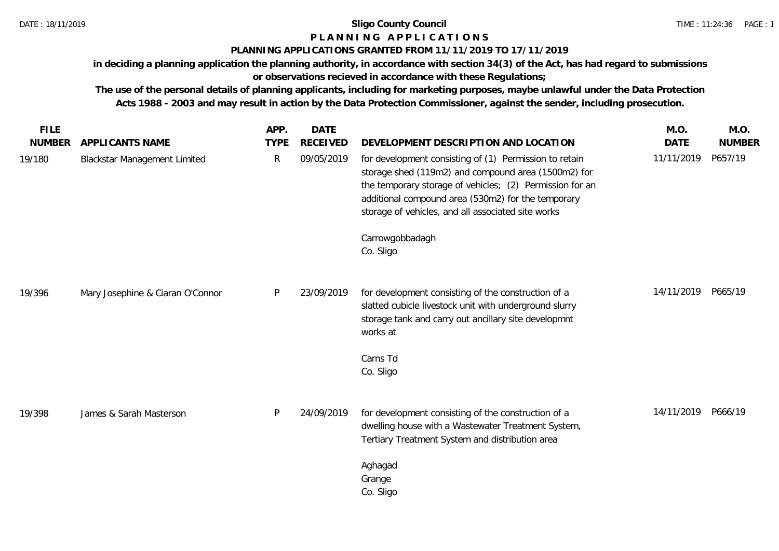# **P L A N N I N G A P P L I C A T I O N S**

#### **PLANNING APPLICATIONS GRANTED FROM 11/11/2019 TO 17/11/2019**

**in deciding a planning application the planning authority, in accordance with section 34(3) of the Act, has had regard to submissions or observations recieved in accordance with these Regulations;**

**The use of the personal details of planning applicants, including for marketing purposes, maybe unlawful under the Data Protection Acts 1988 - 2003 and may result in action by the Data Protection Commissioner, against the sender, including prosecution.**

| <b>FILE</b>   |                                     | APP.         | <b>DATE</b>     |                                                                                                                                                                                                                                                                                       | M.O.               | M.O.          |
|---------------|-------------------------------------|--------------|-----------------|---------------------------------------------------------------------------------------------------------------------------------------------------------------------------------------------------------------------------------------------------------------------------------------|--------------------|---------------|
| <b>NUMBER</b> | APPLICANTS NAME                     | <b>TYPE</b>  | <b>RECEIVED</b> | DEVELOPMENT DESCRIPTION AND LOCATION                                                                                                                                                                                                                                                  | <b>DATE</b>        | <b>NUMBER</b> |
| 19/180        | <b>Blackstar Management Limited</b> | $\mathsf{R}$ | 09/05/2019      | for development consisting of (1) Permission to retain<br>storage shed (119m2) and compound area (1500m2) for<br>the temporary storage of vehicles; (2) Permission for an<br>additional compound area (530m2) for the temporary<br>storage of vehicles, and all associated site works | 11/11/2019         | P657/19       |
|               |                                     |              |                 | Carrowgobbadagh<br>Co. Sligo                                                                                                                                                                                                                                                          |                    |               |
| 19/396        | Mary Josephine & Ciaran O'Connor    | P            | 23/09/2019      | for development consisting of the construction of a<br>slatted cubicle livestock unit with underground slurry<br>storage tank and carry out ancillary site developmnt<br>works at                                                                                                     | 14/11/2019 P665/19 |               |
|               |                                     |              |                 | Carns Td<br>Co. Sligo                                                                                                                                                                                                                                                                 |                    |               |
| 19/398        | James & Sarah Masterson             | P            | 24/09/2019      | for development consisting of the construction of a<br>dwelling house with a Wastewater Treatment System,<br>Tertiary Treatment System and distribution area                                                                                                                          | 14/11/2019         | P666/19       |
|               |                                     |              |                 | Aghagad<br>Grange<br>Co. Sligo                                                                                                                                                                                                                                                        |                    |               |
|               |                                     |              |                 |                                                                                                                                                                                                                                                                                       |                    |               |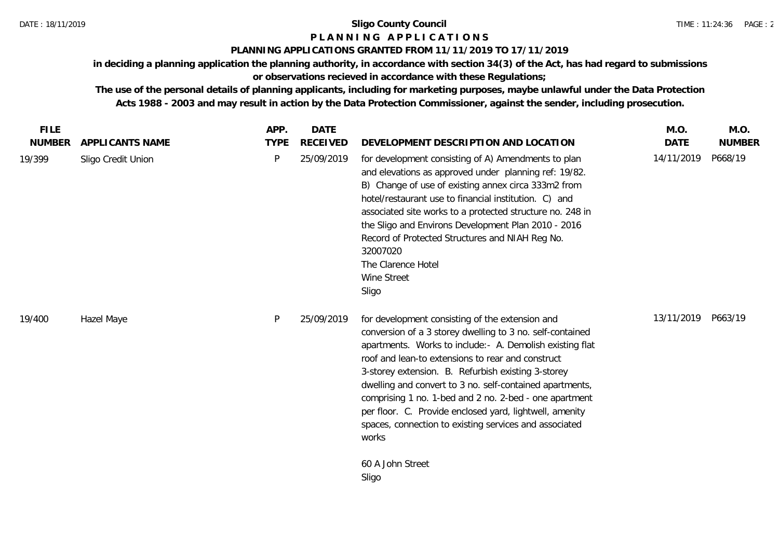# **P L A N N I N G A P P L I C A T I O N S**

# **PLANNING APPLICATIONS GRANTED FROM 11/11/2019 TO 17/11/2019**

**in deciding a planning application the planning authority, in accordance with section 34(3) of the Act, has had regard to submissions or observations recieved in accordance with these Regulations;**

**The use of the personal details of planning applicants, including for marketing purposes, maybe unlawful under the Data Protection Acts 1988 - 2003 and may result in action by the Data Protection Commissioner, against the sender, including prosecution.**

| <b>FILE</b>   |                    | APP.        | <b>DATE</b>     |                                                                                                                                                                                                                                                                                                                                                                                                                                                                                                                                          | M.O.        | M.O.          |
|---------------|--------------------|-------------|-----------------|------------------------------------------------------------------------------------------------------------------------------------------------------------------------------------------------------------------------------------------------------------------------------------------------------------------------------------------------------------------------------------------------------------------------------------------------------------------------------------------------------------------------------------------|-------------|---------------|
| <b>NUMBER</b> | APPLICANTS NAME    | <b>TYPE</b> | <b>RECEIVED</b> | DEVELOPMENT DESCRIPTION AND LOCATION                                                                                                                                                                                                                                                                                                                                                                                                                                                                                                     | <b>DATE</b> | <b>NUMBER</b> |
| 19/399        | Sligo Credit Union | P           | 25/09/2019      | for development consisting of A) Amendments to plan<br>and elevations as approved under planning ref: 19/82.<br>B) Change of use of existing annex circa 333m2 from<br>hotel/restaurant use to financial institution. C) and<br>associated site works to a protected structure no. 248 in<br>the Sligo and Environs Development Plan 2010 - 2016<br>Record of Protected Structures and NIAH Reg No.<br>32007020<br>The Clarence Hotel<br>Wine Street<br>Sligo                                                                            | 14/11/2019  | P668/19       |
| 19/400        | Hazel Maye         | P           | 25/09/2019      | for development consisting of the extension and<br>conversion of a 3 storey dwelling to 3 no. self-contained<br>apartments. Works to include: - A. Demolish existing flat<br>roof and lean-to extensions to rear and construct<br>3-storey extension. B. Refurbish existing 3-storey<br>dwelling and convert to 3 no. self-contained apartments,<br>comprising 1 no. 1-bed and 2 no. 2-bed - one apartment<br>per floor. C. Provide enclosed yard, lightwell, amenity<br>spaces, connection to existing services and associated<br>works | 13/11/2019  | P663/19       |
|               |                    |             |                 | 60 A John Street<br>Sligo                                                                                                                                                                                                                                                                                                                                                                                                                                                                                                                |             |               |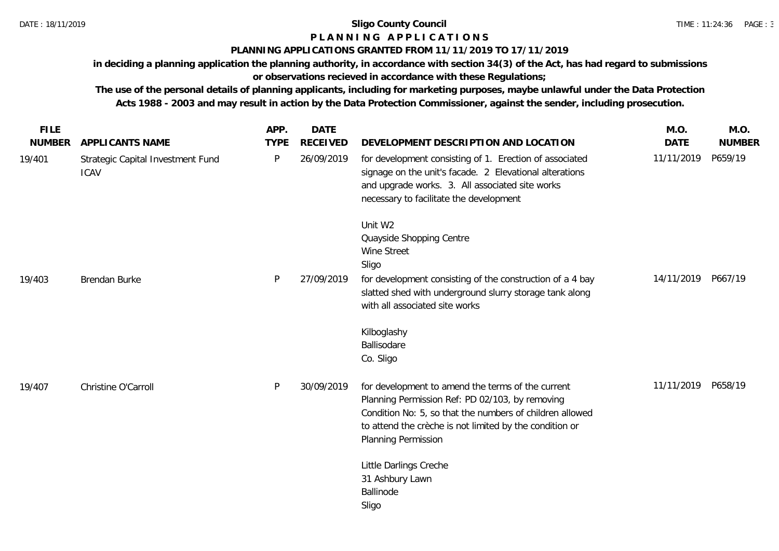# **P L A N N I N G A P P L I C A T I O N S**

#### **PLANNING APPLICATIONS GRANTED FROM 11/11/2019 TO 17/11/2019**

**in deciding a planning application the planning authority, in accordance with section 34(3) of the Act, has had regard to submissions or observations recieved in accordance with these Regulations;**

**The use of the personal details of planning applicants, including for marketing purposes, maybe unlawful under the Data Protection Acts 1988 - 2003 and may result in action by the Data Protection Commissioner, against the sender, including prosecution.**

| <b>FILE</b>   |                                                  | APP.         | <b>DATE</b>     |                                                                                                                                                                                                                                                    | M.O.               | M.O.          |
|---------------|--------------------------------------------------|--------------|-----------------|----------------------------------------------------------------------------------------------------------------------------------------------------------------------------------------------------------------------------------------------------|--------------------|---------------|
| <b>NUMBER</b> | APPLICANTS NAME                                  | <b>TYPE</b>  | <b>RECEIVED</b> | DEVELOPMENT DESCRIPTION AND LOCATION                                                                                                                                                                                                               | <b>DATE</b>        | <b>NUMBER</b> |
| 19/401        | Strategic Capital Investment Fund<br><b>ICAV</b> | $\mathsf{P}$ | 26/09/2019      | for development consisting of 1. Erection of associated<br>signage on the unit's facade. 2 Elevational alterations<br>and upgrade works. 3. All associated site works<br>necessary to facilitate the development                                   | 11/11/2019         | P659/19       |
|               |                                                  |              |                 | Unit W2<br>Quayside Shopping Centre<br>Wine Street<br>Sligo                                                                                                                                                                                        |                    |               |
| 19/403        | Brendan Burke                                    | P            | 27/09/2019      | for development consisting of the construction of a 4 bay<br>slatted shed with underground slurry storage tank along<br>with all associated site works                                                                                             | 14/11/2019 P667/19 |               |
|               |                                                  |              |                 | Kilboglashy<br>Ballisodare<br>Co. Sligo                                                                                                                                                                                                            |                    |               |
| 19/407        | Christine O'Carroll                              | P            | 30/09/2019      | for development to amend the terms of the current<br>Planning Permission Ref: PD 02/103, by removing<br>Condition No: 5, so that the numbers of children allowed<br>to attend the crèche is not limited by the condition or<br>Planning Permission | 11/11/2019         | P658/19       |
|               |                                                  |              |                 | Little Darlings Creche<br>31 Ashbury Lawn<br>Ballinode<br>Sligo                                                                                                                                                                                    |                    |               |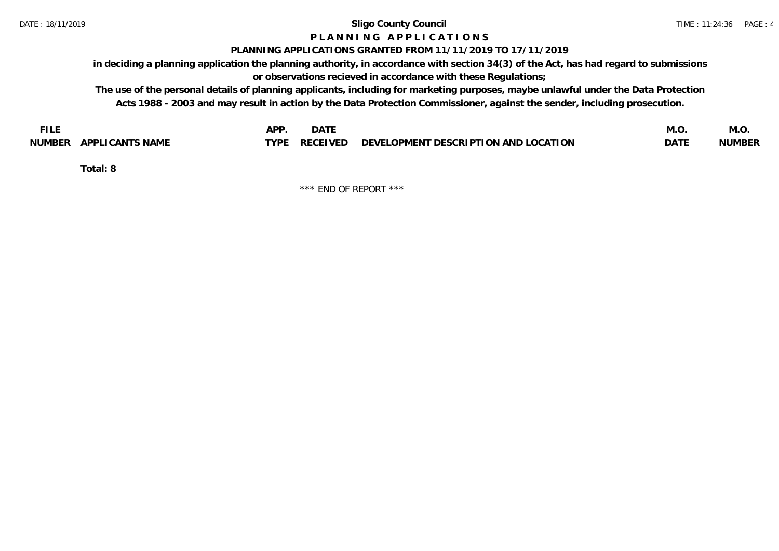# **P L A N N I N G A P P L I C A T I O N S**

#### **PLANNING APPLICATIONS GRANTED FROM 11/11/2019 TO 17/11/2019**

**in deciding a planning application the planning authority, in accordance with section 34(3) of the Act, has had regard to submissions or observations recieved in accordance with these Regulations;**

**The use of the personal details of planning applicants, including for marketing purposes, maybe unlawful under the Data Protection Acts 1988 - 2003 and may result in action by the Data Protection Commissioner, against the sender, including prosecution.**

|        |                        | APP  | $\lambda$ + $\tau$<br>– DA⊥⊾          |                                                              | M.C        | IVI.U         |
|--------|------------------------|------|---------------------------------------|--------------------------------------------------------------|------------|---------------|
| NUMBER | <b>APPLICANTS NAME</b> | TYPF | $\sqrt{2}$<br><b>RECEL</b><br>$V - 1$ | ' OPMENT DESCRIPTION AND L<br><b>LOCATION</b><br><b>DEVE</b> | <b>DAT</b> | <b>NUMBER</b> |

**Total: 8**

\*\*\* END OF REPORT \*\*\*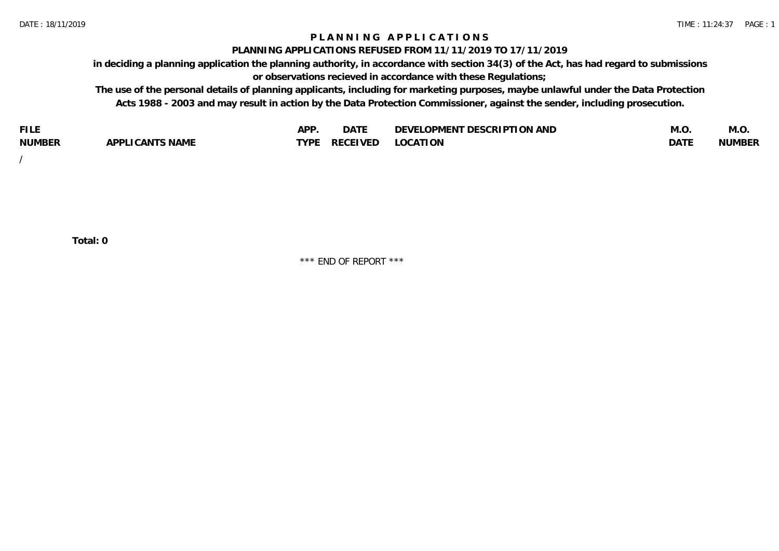## **P L A N N I N G A P P L I C A T I O N S**

#### **PLANNING APPLICATIONS REFUSED FROM 11/11/2019 TO 17/11/2019**

**in deciding a planning application the planning authority, in accordance with section 34(3) of the Act, has had regard to submissions or observations recieved in accordance with these Regulations;**

**The use of the personal details of planning applicants, including for marketing purposes, maybe unlawful under the Data Protection Acts 1988 - 2003 and may result in action by the Data Protection Commissioner, against the sender, including prosecution.**

| <b>FILE</b>   |                       | <b>ADD</b><br>¬ เ⊥ | $\Gamma$ $\Lambda$ $\Gamma$<br>DAI | OPMENT DESCRIPTION AND<br>$\sim$ $\sim$<br>)FVF' | IVI.U            | M.O           |
|---------------|-----------------------|--------------------|------------------------------------|--------------------------------------------------|------------------|---------------|
| <b>NUMBER</b> | LI CANTS NAME<br>APP' | <b>TYPF</b>        | <b>RECEIVED</b>                    | <b>LOCATION</b>                                  | DAT <sup>®</sup> | <b>NUMBEF</b> |

/

**Total: 0**

\*\*\* END OF REPORT \*\*\*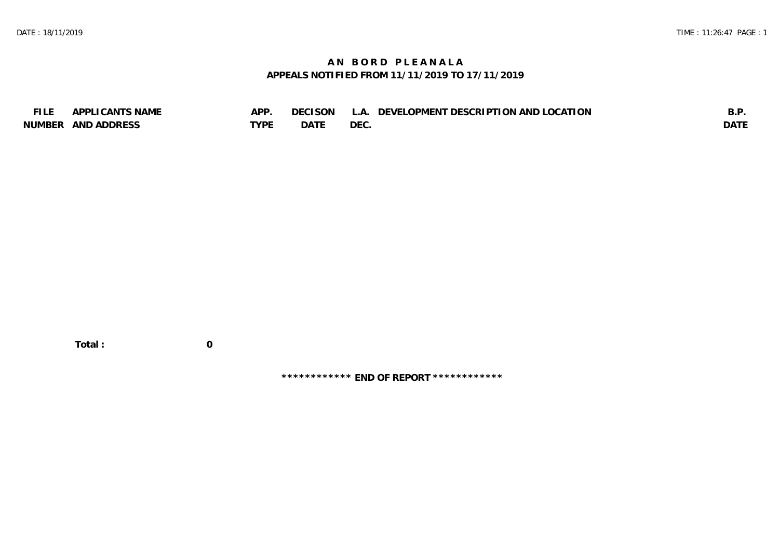# **A N B O R D P L E A N A L A APPEALS NOTIFIED FROM 11/11/2019 TO 17/11/2019**

| <b>FILE</b> | APPLI CANTS NAME   | APP         | DECISON     | L.A. DEVELOPMENT DESCRIPTION AND LOCATION | B.F         |
|-------------|--------------------|-------------|-------------|-------------------------------------------|-------------|
|             | NUMBER AND ADDRESS | <b>TYPF</b> | <b>DATE</b> | DEC.                                      | <b>DATE</b> |

**\*\*\*\*\*\*\*\*\*\*\*\* END OF REPORT \*\*\*\*\*\*\*\*\*\*\*\***